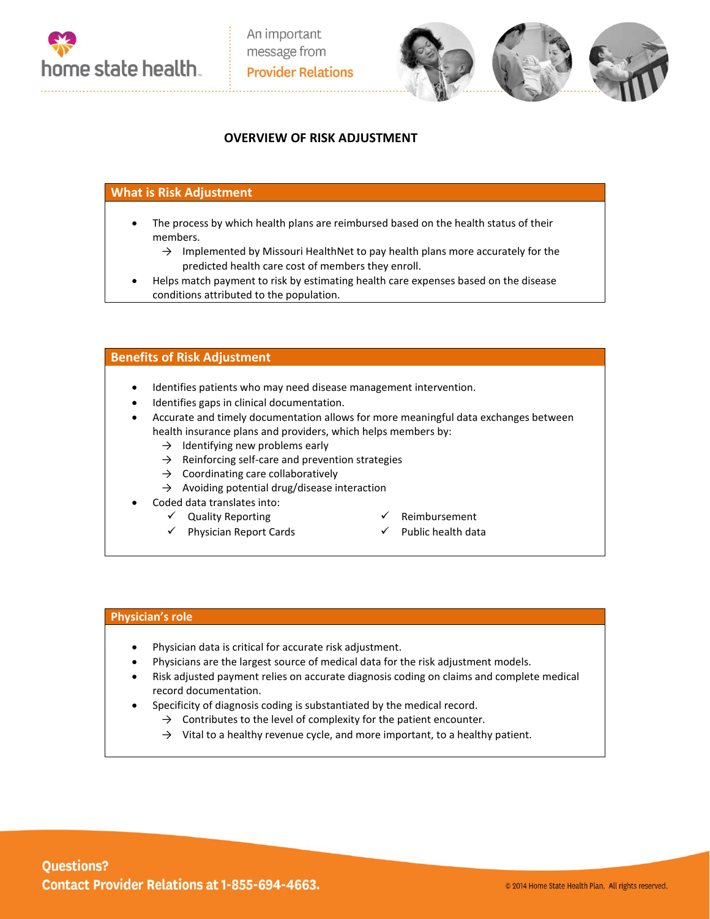



## **OVERVIEW OF RISK ADJUSTMENT**

## **What is Risk Adjustment**

- The process by which health plans are reimbursed based on the health status of their members.
	- $\rightarrow$  Implemented by Missouri HealthNet to pay health plans more accurately for the predicted health care cost of members they enroll.
- Helps match payment to risk by estimating health care expenses based on the disease conditions attributed to the population.

### **Benefits of Risk Adjustment**

- Identifies patients who may need disease management intervention.
- Identifies gaps in clinical documentation.
- Accurate and timely documentation allows for more meaningful data exchanges between health insurance plans and providers, which helps members by:
	- $\rightarrow$  Identifying new problems early
	- $\rightarrow$  Reinforcing self-care and prevention strategies
	- $\rightarrow$  Coordinating care collaboratively
	- $\rightarrow$  Avoiding potential drug/disease interaction
- Coded data translates into:
	- $\checkmark$  Quality Reporting
	- $\checkmark$  Physician Report Cards
- $\checkmark$  Reimbursement
- $\checkmark$  Public health data

#### **Physician's role**

- Physician data is critical for accurate risk adjustment.
- Physicians are the largest source of medical data for the risk adjustment models.
- Risk adjusted payment relies on accurate diagnosis coding on claims and complete medical record documentation.
- Specificity of diagnosis coding is substantiated by the medical record.
	- $\rightarrow$  Contributes to the level of complexity for the patient encounter.
	- $\rightarrow$  Vital to a healthy revenue cycle, and more important, to a healthy patient.